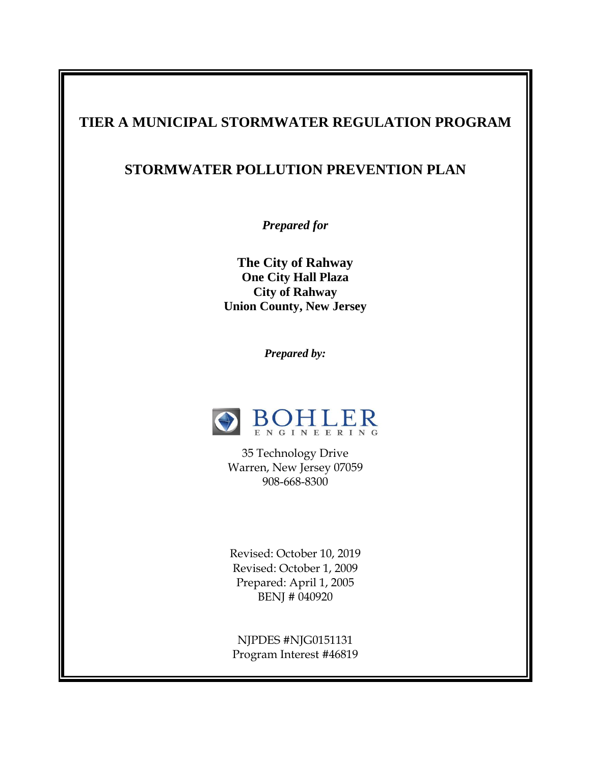### **TIER A MUNICIPAL STORMWATER REGULATION PROGRAM**

### **STORMWATER POLLUTION PREVENTION PLAN**

*Prepared for* 

**The City of Rahway One City Hall Plaza City of Rahway Union County, New Jersey** 

*Prepared by:*



35 Technology Drive Warren, New Jersey 07059 908-668-8300

Revised: October 10, 2019 Revised: October 1, 2009 Prepared: April 1, 2005 BENJ # 040920

NJPDES #NJG0151131 Program Interest #46819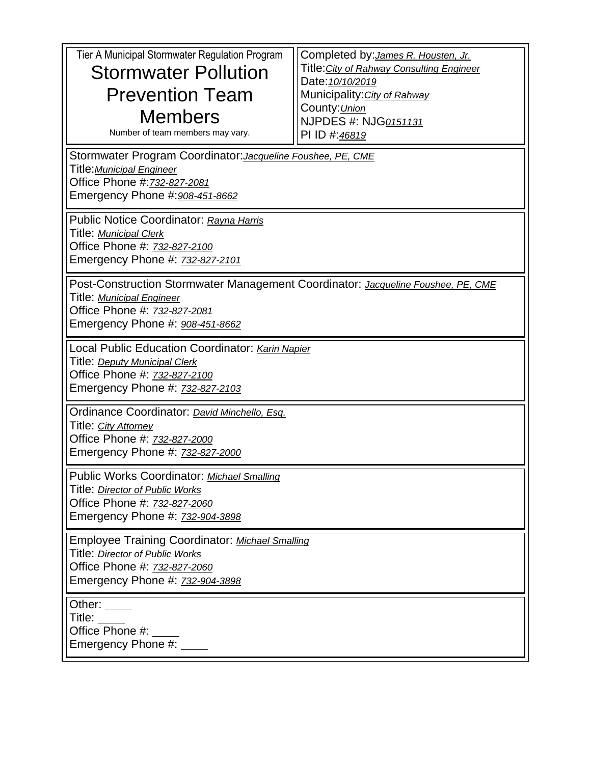| Tier A Municipal Stormwater Regulation Program<br><b>Stormwater Pollution</b><br><b>Prevention Team</b><br><b>Members</b><br>Number of team members may vary.<br>Stormwater Program Coordinator: Jacqueline Foushee, PE, CME<br>Title: Municipal Engineer | Completed by: <i>James R. Housten, Jr.</i><br>Title: City of Rahway Consulting Engineer<br>Date: 10/10/2019<br>Municipality: City of Rahway<br>County: Union<br>NJPDES #: NJG0151131<br>PI ID #:46819 |  |  |
|-----------------------------------------------------------------------------------------------------------------------------------------------------------------------------------------------------------------------------------------------------------|-------------------------------------------------------------------------------------------------------------------------------------------------------------------------------------------------------|--|--|
| Office Phone #: 732-827-2081<br>Emergency Phone #: 908-451-8662<br>Public Notice Coordinator: Rayna Harris<br>Title: Municipal Clerk<br>Office Phone #: 732-827-2100<br>Emergency Phone #: 732-827-2101                                                   |                                                                                                                                                                                                       |  |  |
| Post-Construction Stormwater Management Coordinator: Jacqueline Foushee, PE, CME<br>Title: Municipal Engineer<br>Office Phone #: 732-827-2081<br>Emergency Phone #: 908-451-8662                                                                          |                                                                                                                                                                                                       |  |  |
| Local Public Education Coordinator: Karin Napier<br>Title: <i>Deputy Municipal Clerk</i><br>Office Phone #: 732-827-2100<br>Emergency Phone #: 732-827-2103                                                                                               |                                                                                                                                                                                                       |  |  |
| Ordinance Coordinator: David Minchello, Esq.<br>Title: City Attorney<br>Office Phone #: 732-827-2000<br>Emergency Phone #: 732-827-2000                                                                                                                   |                                                                                                                                                                                                       |  |  |
| Public Works Coordinator: Michael Smalling<br>Title: Director of Public Works<br>Office Phone #: 732-827-2060<br>Emergency Phone #: 732-904-3898                                                                                                          |                                                                                                                                                                                                       |  |  |
| <b>Employee Training Coordinator: Michael Smalling</b><br>Title: Director of Public Works<br>Office Phone #: 732-827-2060<br>Emergency Phone #: 732-904-3898                                                                                              |                                                                                                                                                                                                       |  |  |
| Other:<br>Title:<br>Office Phone #:<br>Emergency Phone #: __                                                                                                                                                                                              |                                                                                                                                                                                                       |  |  |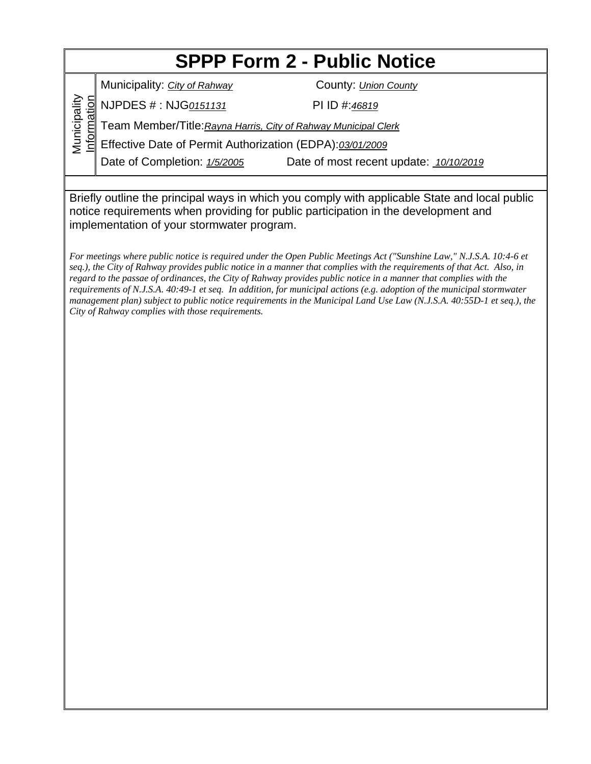# **SPPP Form 2 - Public Notice**

Municipality: *City of Rahway* County: *Union County* 

NJPDES # : NJG*0151131* PI ID #:*46819*

Municipality Municipality Information Team Member/Title:*Rayna Harris, City of Rahway Municipal Clerk*

Effective Date of Permit Authorization (EDPA):*03/01/2009*

Date of Completion: *1/5/2005* Date of most recent update: *10/10/2019*

Briefly outline the principal ways in which you comply with applicable State and local public notice requirements when providing for public participation in the development and implementation of your stormwater program.

*For meetings where public notice is required under the Open Public Meetings Act ("Sunshine Law," N.J.S.A. 10:4-6 et seq.), the City of Rahway provides public notice in a manner that complies with the requirements of that Act. Also, in regard to the passae of ordinances, the City of Rahway provides public notice in a manner that complies with the requirements of N.J.S.A. 40:49-1 et seq. In addition, for municipal actions (e.g. adoption of the municipal stormwater management plan) subject to public notice requirements in the Municipal Land Use Law (N.J.S.A. 40:55D-1 et seq.), the City of Rahway complies with those requirements.*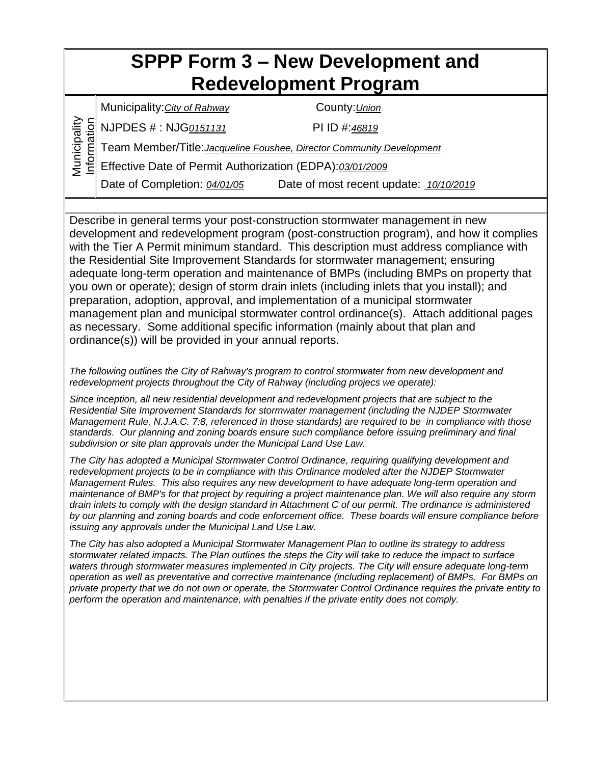## **SPPP Form 3 – New Development and Redevelopment Program**

Municipality:*City of Rahway* County:*Union*

NJPDES # : NJG*0151131* PI ID #:*46819*

Municipality

**Aunicipality** 

Information Team Member/Title:*Jacqueline Foushee, Director Community Development*

Effective Date of Permit Authorization (EDPA):*03/01/2009*

Date of Completion: *04/01/05* Date of most recent update: *10/10/2019*

Describe in general terms your post-construction stormwater management in new development and redevelopment program (post-construction program), and how it complies with the Tier A Permit minimum standard. This description must address compliance with the Residential Site Improvement Standards for stormwater management; ensuring adequate long-term operation and maintenance of BMPs (including BMPs on property that you own or operate); design of storm drain inlets (including inlets that you install); and preparation, adoption, approval, and implementation of a municipal stormwater management plan and municipal stormwater control ordinance(s). Attach additional pages as necessary. Some additional specific information (mainly about that plan and ordinance(s)) will be provided in your annual reports.

*The following outlines the City of Rahway's program to control stormwater from new development and redevelopment projects throughout the City of Rahway (including projecs we operate):*

*Since inception, all new residential development and redevelopment projects that are subject to the Residential Site Improvement Standards for stormwater management (including the NJDEP Stormwater Management Rule, N.J.A.C. 7:8, referenced in those standards) are required to be in compliance with those standards. Our planning and zoning boards ensure such compliance before issuing preliminary and final subdivision or site plan approvals under the Municipal Land Use Law.*

*The City has adopted a Municipal Stormwater Control Ordinance, requiring qualifying development and redevelopment projects to be in compliance with this Ordinance modeled after the NJDEP Stormwater Management Rules. This also requires any new development to have adequate long-term operation and maintenance of BMP's for that project by requiring a project maintenance plan. We will also require any storm drain inlets to comply with the design standard in Attachment C of our permit. The ordinance is administered by our planning and zoning boards and code enforcement office. These boards will ensure compliance before issuing any approvals under the Municipal Land Use Law.*

*The City has also adopted a Municipal Stormwater Management Plan to outline its strategy to address stormwater related impacts. The Plan outlines the steps the City will take to reduce the impact to surface waters through stormwater measures implemented in City projects. The City will ensure adequate long-term operation as well as preventative and corrective maintenance (including replacement) of BMPs. For BMPs on private property that we do not own or operate, the Stormwater Control Ordinance requires the private entity to perform the operation and maintenance, with penalties if the private entity does not comply.*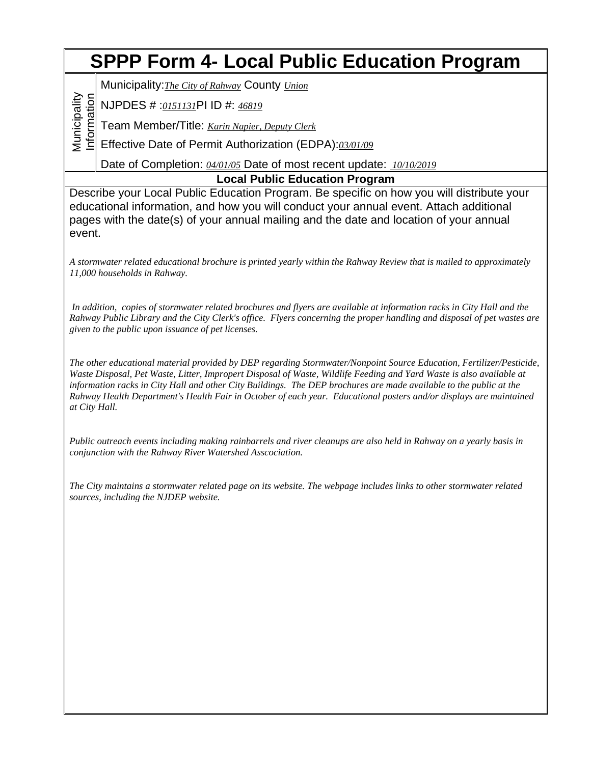# **SPPP Form 4- Local Public Education Program**

Municipality:*The City of Rahway* County *Union*

NJPDES # :*0151131*PI ID #: *46819*

Team Member/Title: *Karin Napier, Deputy Clerk*

Effective Date of Permit Authorization (EDPA):*03/01/09*

Date of Completion: *04/01/05* Date of most recent update: *10/10/2019*

**Local Public Education Program**

Describe your Local Public Education Program. Be specific on how you will distribute your educational information, and how you will conduct your annual event. Attach additional pages with the date(s) of your annual mailing and the date and location of your annual event.

*A stormwater related educational brochure is printed yearly within the Rahway Review that is mailed to approximately 11,000 households in Rahway.* 

*In addition, copies of stormwater related brochures and flyers are available at information racks in City Hall and the Rahway Public Library and the City Clerk's office. Flyers concerning the proper handling and disposal of pet wastes are given to the public upon issuance of pet licenses.*

*The other educational material provided by DEP regarding Stormwater/Nonpoint Source Education, Fertilizer/Pesticide, Waste Disposal, Pet Waste, Litter, Impropert Disposal of Waste, Wildlife Feeding and Yard Waste is also available at information racks in City Hall and other City Buildings. The DEP brochures are made available to the public at the Rahway Health Department's Health Fair in October of each year. Educational posters and/or displays are maintained at City Hall.* 

*Public outreach events including making rainbarrels and river cleanups are also held in Rahway on a yearly basis in conjunction with the Rahway River Watershed Asscociation.*

*The City maintains a stormwater related page on its website. The webpage includes links to other stormwater related sources, including the NJDEP website.* 

Municipality **Aunicipality** Information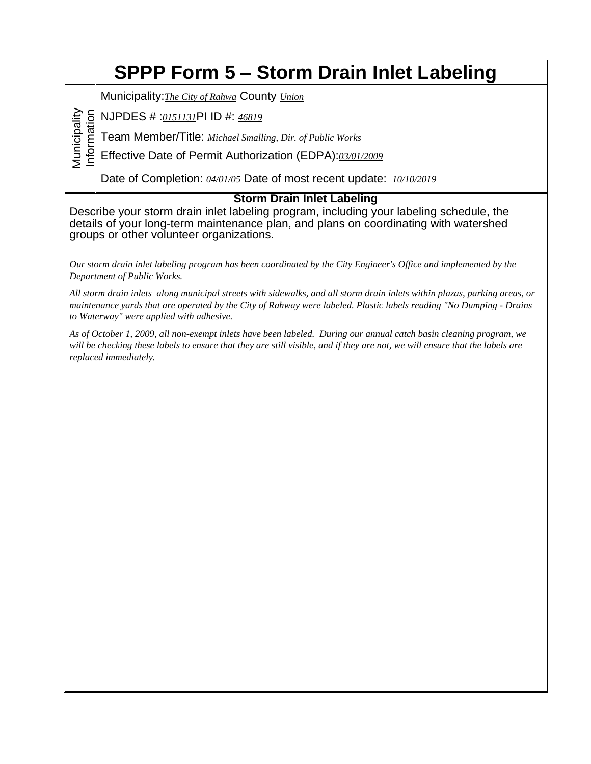## **SPPP Form 5 – Storm Drain Inlet Labeling**

Municipality:*The City of Rahwa* County *Union*

Information NJPDES # :*0151131*PI ID #: *46819*

Municipality

Municipality

Team Member/Title: *Michael Smalling, Dir. of Public Works*

Effective Date of Permit Authorization (EDPA):*03/01/2009*

Date of Completion: *04/01/05* Date of most recent update: *10/10/2019*

### **Storm Drain Inlet Labeling**

Describe your storm drain inlet labeling program, including your labeling schedule, the details of your long-term maintenance plan, and plans on coordinating with watershed groups or other volunteer organizations.

*Our storm drain inlet labeling program has been coordinated by the City Engineer's Office and implemented by the Department of Public Works.*

*All storm drain inlets along municipal streets with sidewalks, and all storm drain inlets within plazas, parking areas, or maintenance yards that are operated by the City of Rahway were labeled. Plastic labels reading "No Dumping - Drains to Waterway" were applied with adhesive.*

*As of October 1, 2009, all non-exempt inlets have been labeled. During our annual catch basin cleaning program, we will be checking these labels to ensure that they are still visible, and if they are not, we will ensure that the labels are replaced immediately.*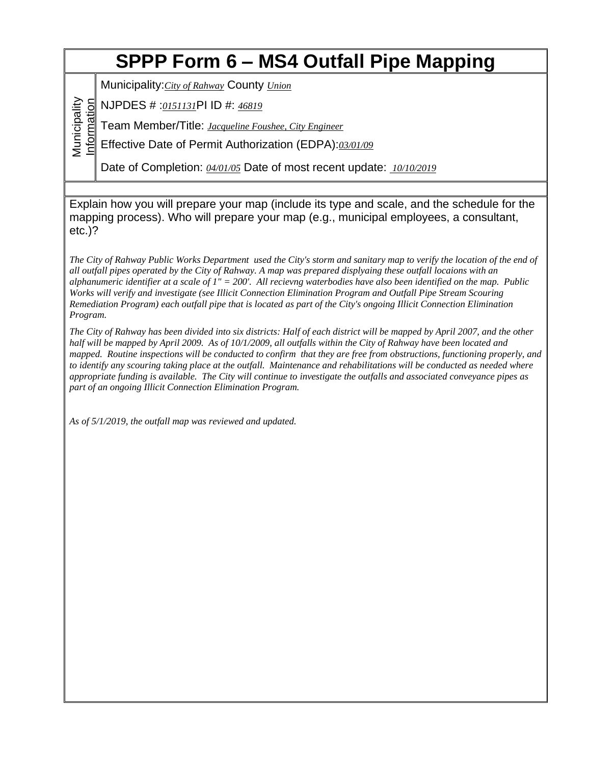# **SPPP Form 6 – MS4 Outfall Pipe Mapping**

Municipality:*City of Rahway* County *Union*

Information NJPDES # :*0151131*PI ID #: *46819*

Municipality

Municipality

Team Member/Title: *Jacqueline Foushee, City Engineer*

Effective Date of Permit Authorization (EDPA):*03/01/09*

Date of Completion: *04/01/05* Date of most recent update: *10/10/2019*

Explain how you will prepare your map (include its type and scale, and the schedule for the mapping process). Who will prepare your map (e.g., municipal employees, a consultant, etc.)?

*The City of Rahway Public Works Department used the City's storm and sanitary map to verify the location of the end of all outfall pipes operated by the City of Rahway. A map was prepared displyaing these outfall locaions with an alphanumeric identifier at a scale of 1" = 200'. All recievng waterbodies have also been identified on the map. Public Works will verify and investigate (see Illicit Connection Elimination Program and Outfall Pipe Stream Scouring Remediation Program) each outfall pipe that is located as part of the City's ongoing Illicit Connection Elimination Program.*

*The City of Rahway has been divided into six districts: Half of each district will be mapped by April 2007, and the other half will be mapped by April 2009. As of 10/1/2009, all outfalls within the City of Rahway have been located and mapped. Routine inspections will be conducted to confirm that they are free from obstructions, functioning properly, and to identify any scouring taking place at the outfall. Maintenance and rehabilitations will be conducted as needed where appropriate funding is available. The City will continue to investigate the outfalls and associated conveyance pipes as part of an ongoing Illicit Connection Elimination Program.*

*As of 5/1/2019, the outfall map was reviewed and updated.*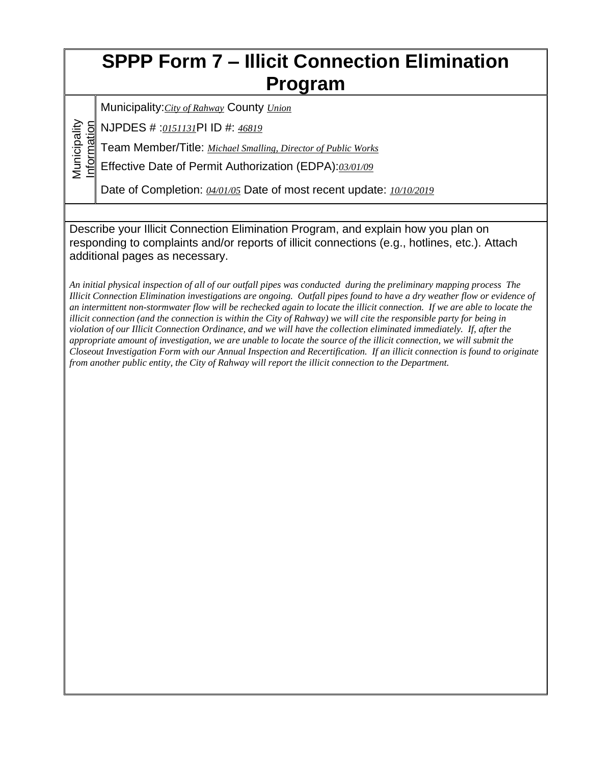## **SPPP Form 7 – Illicit Connection Elimination Program**

Municipality:*City of Rahway* County *Union*

Information NJPDES # :*0151131*PI ID #: *46819*

Municipality

Municipality

Team Member/Title: *Michael Smalling, Director of Public Works*

Effective Date of Permit Authorization (EDPA):*03/01/09*

Date of Completion: *04/01/05* Date of most recent update: *10/10/2019*

Describe your Illicit Connection Elimination Program, and explain how you plan on responding to complaints and/or reports of illicit connections (e.g., hotlines, etc.). Attach additional pages as necessary.

*An initial physical inspection of all of our outfall pipes was conducted during the preliminary mapping process The Illicit Connection Elimination investigations are ongoing. Outfall pipes found to have a dry weather flow or evidence of an intermittent non-stormwater flow will be rechecked again to locate the illicit connection. If we are able to locate the illicit connection (and the connection is within the City of Rahway) we will cite the responsible party for being in violation of our Illicit Connection Ordinance, and we will have the collection eliminated immediately. If, after the appropriate amount of investigation, we are unable to locate the source of the illicit connection, we will submit the Closeout Investigation Form with our Annual Inspection and Recertification. If an illicit connection is found to originate from another public entity, the City of Rahway will report the illicit connection to the Department.*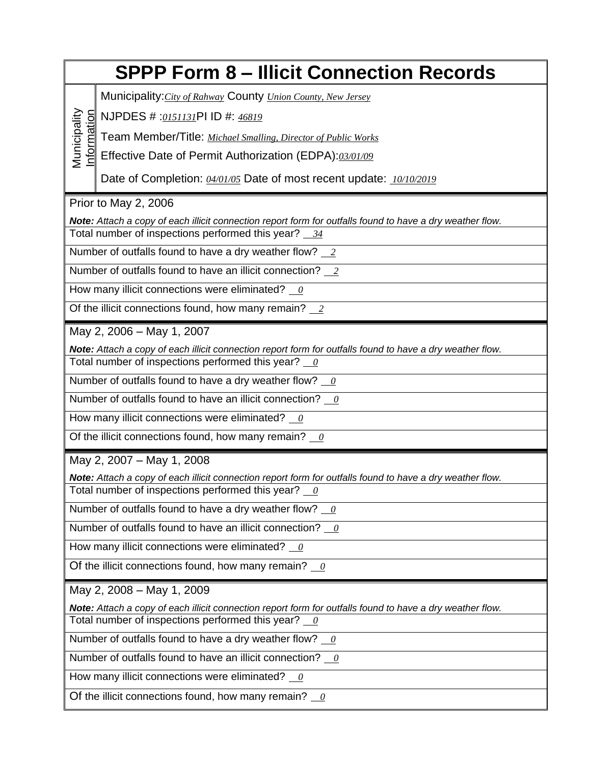|                                                                                                                            | <b>SPPP Form 8 - Illicit Connection Records</b>                                                                                                                             |  |  |  |  |
|----------------------------------------------------------------------------------------------------------------------------|-----------------------------------------------------------------------------------------------------------------------------------------------------------------------------|--|--|--|--|
|                                                                                                                            | Municipality: City of Rahway County Union County, New Jersey                                                                                                                |  |  |  |  |
|                                                                                                                            | NJPDES # :0151131PI ID #: 46819                                                                                                                                             |  |  |  |  |
|                                                                                                                            | Team Member/Title: Michael Smalling, Director of Public Works                                                                                                               |  |  |  |  |
| Municipality<br>nformation                                                                                                 | Effective Date of Permit Authorization (EDPA):03/01/09                                                                                                                      |  |  |  |  |
|                                                                                                                            | Date of Completion: 04/01/05 Date of most recent update: 10/10/2019                                                                                                         |  |  |  |  |
|                                                                                                                            | Prior to May 2, 2006                                                                                                                                                        |  |  |  |  |
|                                                                                                                            | Note: Attach a copy of each illicit connection report form for outfalls found to have a dry weather flow.<br>Total number of inspections performed this year? 34            |  |  |  |  |
|                                                                                                                            | Number of outfalls found to have a dry weather flow? $2$                                                                                                                    |  |  |  |  |
|                                                                                                                            | Number of outfalls found to have an illicit connection? 2                                                                                                                   |  |  |  |  |
|                                                                                                                            | How many illicit connections were eliminated? $\theta$                                                                                                                      |  |  |  |  |
|                                                                                                                            | Of the illicit connections found, how many remain? $2$                                                                                                                      |  |  |  |  |
|                                                                                                                            | May 2, 2006 - May 1, 2007                                                                                                                                                   |  |  |  |  |
|                                                                                                                            | Note: Attach a copy of each illicit connection report form for outfalls found to have a dry weather flow.<br>Total number of inspections performed this year? $\frac{0}{0}$ |  |  |  |  |
|                                                                                                                            | Number of outfalls found to have a dry weather flow? $\frac{0}{0}$                                                                                                          |  |  |  |  |
|                                                                                                                            | Number of outfalls found to have an illicit connection? $\theta$                                                                                                            |  |  |  |  |
|                                                                                                                            | How many illicit connections were eliminated? $\theta$                                                                                                                      |  |  |  |  |
|                                                                                                                            | Of the illicit connections found, how many remain? $\frac{0}{0}$                                                                                                            |  |  |  |  |
|                                                                                                                            | May 2, 2007 - May 1, 2008                                                                                                                                                   |  |  |  |  |
|                                                                                                                            | Note: Attach a copy of each illicit connection report form for outfalls found to have a dry weather flow.<br>Total number of inspections performed this year? $\theta$      |  |  |  |  |
|                                                                                                                            | Number of outfalls found to have a dry weather flow? $\frac{0}{0}$                                                                                                          |  |  |  |  |
|                                                                                                                            | Number of outfalls found to have an illicit connection? $\frac{0}{0}$                                                                                                       |  |  |  |  |
|                                                                                                                            | How many illicit connections were eliminated? $\frac{0}{0}$                                                                                                                 |  |  |  |  |
| Of the illicit connections found, how many remain? $\frac{0}{0}$                                                           |                                                                                                                                                                             |  |  |  |  |
|                                                                                                                            | May 2, 2008 - May 1, 2009                                                                                                                                                   |  |  |  |  |
|                                                                                                                            | Note: Attach a copy of each illicit connection report form for outfalls found to have a dry weather flow.                                                                   |  |  |  |  |
|                                                                                                                            | Total number of inspections performed this year? $\frac{0}{0}$                                                                                                              |  |  |  |  |
|                                                                                                                            | Number of outfalls found to have a dry weather flow? $\frac{0}{0}$                                                                                                          |  |  |  |  |
|                                                                                                                            | Number of outfalls found to have an illicit connection? $\frac{0}{0}$                                                                                                       |  |  |  |  |
| How many illicit connections were eliminated? $\theta$<br>Of the illicit connections found, how many remain? $\frac{0}{0}$ |                                                                                                                                                                             |  |  |  |  |
|                                                                                                                            |                                                                                                                                                                             |  |  |  |  |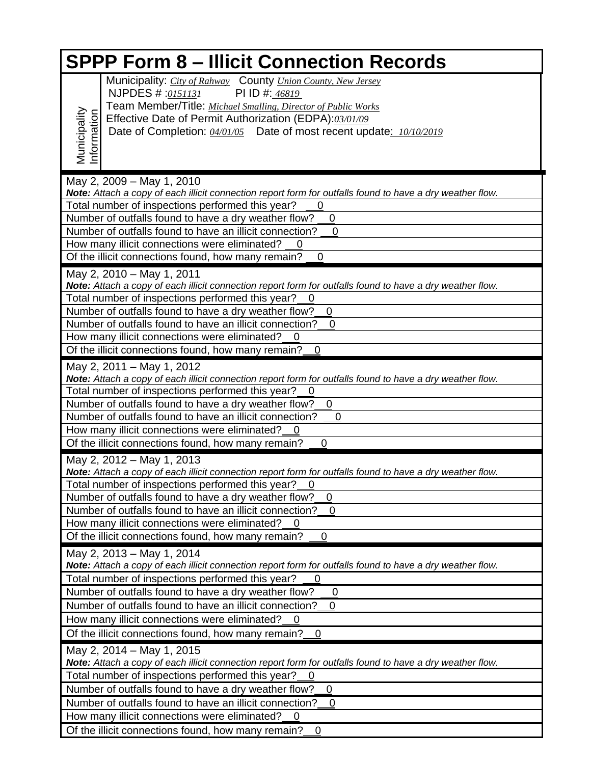| <b>SPPP Form 8 - Illicit Connection Records</b>                                                                                     |                                                                                                                                                                                                                                                                                                       |  |  |  |
|-------------------------------------------------------------------------------------------------------------------------------------|-------------------------------------------------------------------------------------------------------------------------------------------------------------------------------------------------------------------------------------------------------------------------------------------------------|--|--|--|
| Municipality<br>Information                                                                                                         | Municipality: City of Rahway County Union County, New Jersey<br>NJPDES # :0151131<br>PI ID #: 46819<br>Team Member/Title: Michael Smalling, Director of Public Works<br>Effective Date of Permit Authorization (EDPA):03/01/09<br>Date of Completion: 04/01/05 Date of most recent update: 10/10/2019 |  |  |  |
|                                                                                                                                     |                                                                                                                                                                                                                                                                                                       |  |  |  |
|                                                                                                                                     | May 2, 2009 - May 1, 2010<br>Note: Attach a copy of each illicit connection report form for outfalls found to have a dry weather flow.                                                                                                                                                                |  |  |  |
|                                                                                                                                     | Total number of inspections performed this year?                                                                                                                                                                                                                                                      |  |  |  |
|                                                                                                                                     | Number of outfalls found to have a dry weather flow?<br>0                                                                                                                                                                                                                                             |  |  |  |
|                                                                                                                                     | Number of outfalls found to have an illicit connection?<br>0                                                                                                                                                                                                                                          |  |  |  |
|                                                                                                                                     | How many illicit connections were eliminated?<br>$\mathbf 0$                                                                                                                                                                                                                                          |  |  |  |
|                                                                                                                                     | Of the illicit connections found, how many remain?<br>$\mathbf 0$                                                                                                                                                                                                                                     |  |  |  |
|                                                                                                                                     | May 2, 2010 - May 1, 2011                                                                                                                                                                                                                                                                             |  |  |  |
|                                                                                                                                     | Note: Attach a copy of each illicit connection report form for outfalls found to have a dry weather flow.                                                                                                                                                                                             |  |  |  |
|                                                                                                                                     | Total number of inspections performed this year?                                                                                                                                                                                                                                                      |  |  |  |
|                                                                                                                                     | Number of outfalls found to have a dry weather flow?<br>0<br>Number of outfalls found to have an illicit connection?<br>$\mathbf 0$                                                                                                                                                                   |  |  |  |
|                                                                                                                                     | How many illicit connections were eliminated?<br>$\mathbf 0$                                                                                                                                                                                                                                          |  |  |  |
|                                                                                                                                     | Of the illicit connections found, how many remain?<br>0                                                                                                                                                                                                                                               |  |  |  |
|                                                                                                                                     | May 2, 2011 - May 1, 2012                                                                                                                                                                                                                                                                             |  |  |  |
|                                                                                                                                     | Note: Attach a copy of each illicit connection report form for outfalls found to have a dry weather flow.                                                                                                                                                                                             |  |  |  |
|                                                                                                                                     | Total number of inspections performed this year?                                                                                                                                                                                                                                                      |  |  |  |
|                                                                                                                                     | Number of outfalls found to have a dry weather flow?<br>$\mathbf 0$                                                                                                                                                                                                                                   |  |  |  |
|                                                                                                                                     | Number of outfalls found to have an illicit connection?<br>$\overline{0}$                                                                                                                                                                                                                             |  |  |  |
|                                                                                                                                     | How many illicit connections were eliminated? 0                                                                                                                                                                                                                                                       |  |  |  |
|                                                                                                                                     | Of the illicit connections found, how many remain?<br>$\mathbf 0$                                                                                                                                                                                                                                     |  |  |  |
|                                                                                                                                     | May 2, 2012 - May 1, 2013                                                                                                                                                                                                                                                                             |  |  |  |
|                                                                                                                                     | Note: Attach a copy of each illicit connection report form for outfalls found to have a dry weather flow.                                                                                                                                                                                             |  |  |  |
|                                                                                                                                     | Total number of inspections performed this year?                                                                                                                                                                                                                                                      |  |  |  |
|                                                                                                                                     | Number of outfalls found to have a dry weather flow?<br>0                                                                                                                                                                                                                                             |  |  |  |
|                                                                                                                                     | Number of outfalls found to have an illicit connection?<br>$\mathbf 0$                                                                                                                                                                                                                                |  |  |  |
|                                                                                                                                     | How many illicit connections were eliminated? 0                                                                                                                                                                                                                                                       |  |  |  |
|                                                                                                                                     | Of the illicit connections found, how many remain?<br>0                                                                                                                                                                                                                                               |  |  |  |
|                                                                                                                                     | May 2, 2013 - May 1, 2014                                                                                                                                                                                                                                                                             |  |  |  |
|                                                                                                                                     | Note: Attach a copy of each illicit connection report form for outfalls found to have a dry weather flow.                                                                                                                                                                                             |  |  |  |
|                                                                                                                                     | Total number of inspections performed this year?<br>0                                                                                                                                                                                                                                                 |  |  |  |
| Number of outfalls found to have a dry weather flow?<br>$\mathbf 0$<br>Number of outfalls found to have an illicit connection?<br>0 |                                                                                                                                                                                                                                                                                                       |  |  |  |
| How many illicit connections were eliminated?<br>$\overline{0}$                                                                     |                                                                                                                                                                                                                                                                                                       |  |  |  |
|                                                                                                                                     | Of the illicit connections found, how many remain?<br>$\overline{0}$                                                                                                                                                                                                                                  |  |  |  |
|                                                                                                                                     |                                                                                                                                                                                                                                                                                                       |  |  |  |
|                                                                                                                                     | May 2, 2014 - May 1, 2015<br>Note: Attach a copy of each illicit connection report form for outfalls found to have a dry weather flow.                                                                                                                                                                |  |  |  |
|                                                                                                                                     | Total number of inspections performed this year?<br>0                                                                                                                                                                                                                                                 |  |  |  |
|                                                                                                                                     | Number of outfalls found to have a dry weather flow?<br>$\overline{0}$                                                                                                                                                                                                                                |  |  |  |
|                                                                                                                                     | Number of outfalls found to have an illicit connection?<br>0                                                                                                                                                                                                                                          |  |  |  |
|                                                                                                                                     | How many illicit connections were eliminated?<br>0                                                                                                                                                                                                                                                    |  |  |  |
|                                                                                                                                     | Of the illicit connections found, how many remain?<br>0                                                                                                                                                                                                                                               |  |  |  |
|                                                                                                                                     |                                                                                                                                                                                                                                                                                                       |  |  |  |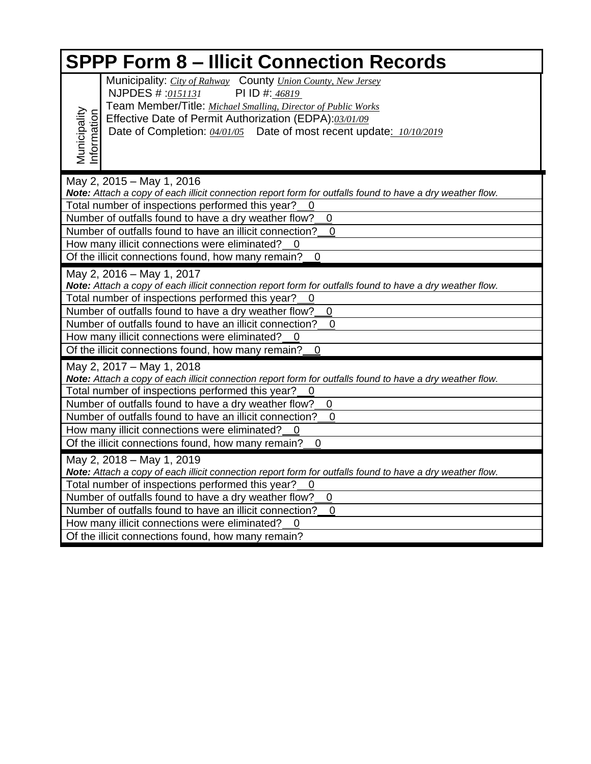| <b>SPPP Form 8 - Illicit Connection Records</b> |                                                                                                                                                                                                                                                                                                                                                                                                                                          |  |  |
|-------------------------------------------------|------------------------------------------------------------------------------------------------------------------------------------------------------------------------------------------------------------------------------------------------------------------------------------------------------------------------------------------------------------------------------------------------------------------------------------------|--|--|
| Municipality<br>nformation                      | Municipality: City of Rahway County Union County, New Jersey<br>NJPDES #:0151131<br>PI ID #: 46819<br>Team Member/Title: Michael Smalling, Director of Public Works<br>Effective Date of Permit Authorization (EDPA):03/01/09<br>Date of Completion: 04/01/05 Date of most recent update: 10/10/2019                                                                                                                                     |  |  |
| May 2, 2015 - May 1, 2016                       | Note: Attach a copy of each illicit connection report form for outfalls found to have a dry weather flow.<br>Total number of inspections performed this year?<br>Number of outfalls found to have a dry weather flow?<br>$\mathbf 0$<br>Number of outfalls found to have an illicit connection?<br>$\mathbf 0$<br>How many illicit connections were eliminated?<br>Of the illicit connections found, how many remain?<br>$\mathbf 0$     |  |  |
| May 2, 2016 - May 1, 2017                       | Note: Attach a copy of each illicit connection report form for outfalls found to have a dry weather flow.<br>Total number of inspections performed this year?<br>-0<br>Number of outfalls found to have a dry weather flow?<br>$\boldsymbol{0}$<br>Number of outfalls found to have an illicit connection?<br>0<br>How many illicit connections were eliminated?<br>Of the illicit connections found, how many remain?<br>$\overline{0}$ |  |  |
| May 2, 2017 - May 1, 2018                       | Note: Attach a copy of each illicit connection report form for outfalls found to have a dry weather flow.<br>Total number of inspections performed this year?<br>Number of outfalls found to have a dry weather flow?<br>0<br>Number of outfalls found to have an illicit connection?<br>$\mathbf 0$<br>How many illicit connections were eliminated?<br>Of the illicit connections found, how many remain?<br>$\mathbf 0$               |  |  |
| May 2, 2018 - May 1, 2019                       | Note: Attach a copy of each illicit connection report form for outfalls found to have a dry weather flow.<br>Total number of inspections performed this year?<br>0<br>Number of outfalls found to have a dry weather flow?<br>0<br>Number of outfalls found to have an illicit connection?<br>$\overline{0}$<br>How many illicit connections were eliminated?<br>Of the illicit connections found, how many remain?                      |  |  |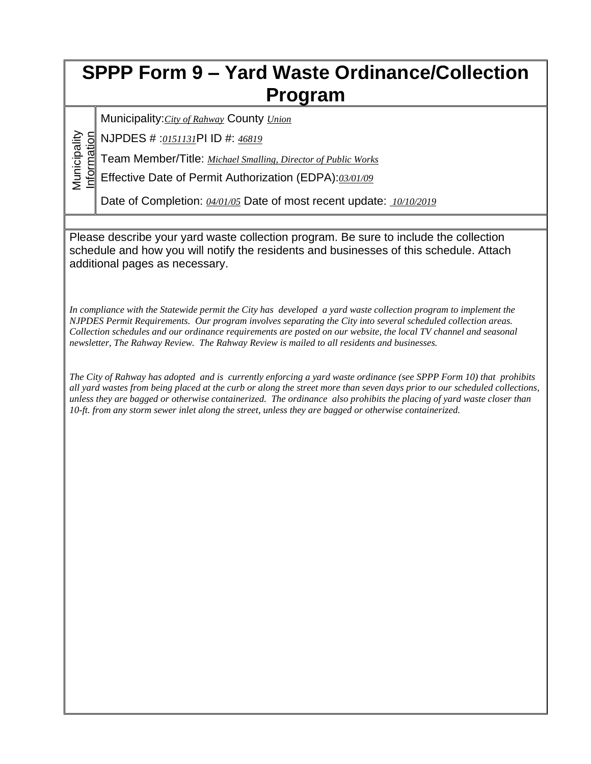## **SPPP Form 9 – Yard Waste Ordinance/Collection Program**

Municipality:*City of Rahway* County *Union*

Municipality<br>Information NJPDES # :*0151131*PI ID #: *46819*

Municipality

Team Member/Title: *Michael Smalling, Director of Public Works*

Effective Date of Permit Authorization (EDPA):*03/01/09*

Date of Completion: *04/01/05* Date of most recent update: *10/10/2019*

Please describe your yard waste collection program. Be sure to include the collection schedule and how you will notify the residents and businesses of this schedule. Attach additional pages as necessary.

*In compliance with the Statewide permit the City has developed a yard waste collection program to implement the NJPDES Permit Requirements. Our program involves separating the City into several scheduled collection areas. Collection schedules and our ordinance requirements are posted on our website, the local TV channel and seasonal newsletter, The Rahway Review. The Rahway Review is mailed to all residents and businesses.*

*The City of Rahway has adopted and is currently enforcing a yard waste ordinance (see SPPP Form 10) that prohibits all yard wastes from being placed at the curb or along the street more than seven days prior to our scheduled collections, unless they are bagged or otherwise containerized. The ordinance also prohibits the placing of yard waste closer than 10-ft. from any storm sewer inlet along the street, unless they are bagged or otherwise containerized.*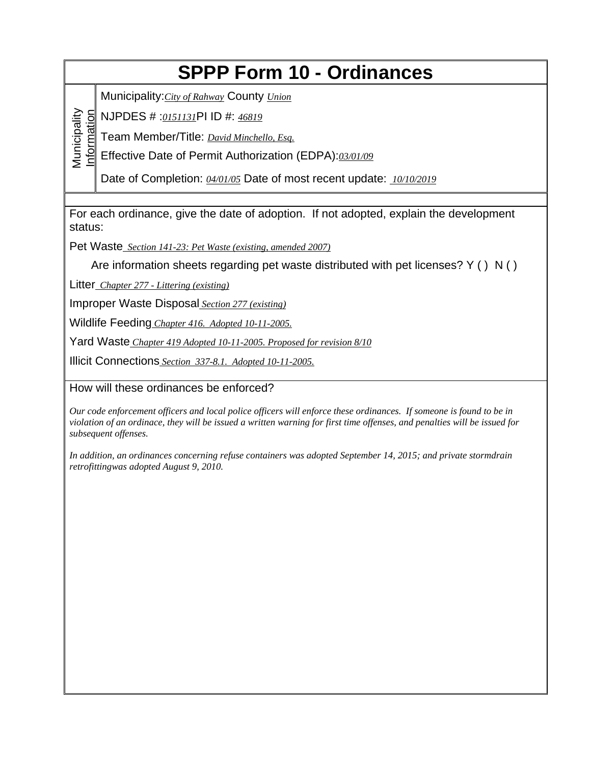## **SPPP Form 10 - Ordinances**

Municipality:*City of Rahway* County *Union*

NJPDES # :*0151131*PI ID #: *46819*

Information Team Member/Title: *David Minchello, Esq.*

Effective Date of Permit Authorization (EDPA):*03/01/09*

Date of Completion: *04/01/05* Date of most recent update: *10/10/2019*

For each ordinance, give the date of adoption. If not adopted, explain the development status:

Pet Waste *Section 141-23: Pet Waste (existing, amended 2007)*

Are information sheets regarding pet waste distributed with pet licenses? Y ( ) N ( )

Litter *Chapter 277 - Littering (existing)*

Municipality

**Municipality** 

Improper Waste Disposal *Section 277 (existing)*

Wildlife Feeding *Chapter 416. Adopted 10-11-2005.*

Yard Waste *Chapter 419 Adopted 10-11-2005. Proposed for revision 8/10*

Illicit Connections *Section 337-8.1. Adopted 10-11-2005.*

How will these ordinances be enforced?

*Our code enforcement officers and local police officers will enforce these ordinances. If someone is found to be in violation of an ordinace, they will be issued a written warning for first time offenses, and penalties will be issued for subsequent offenses.*

*In addition, an ordinances concerning refuse containers was adopted September 14, 2015; and private stormdrain retrofittingwas adopted August 9, 2010.*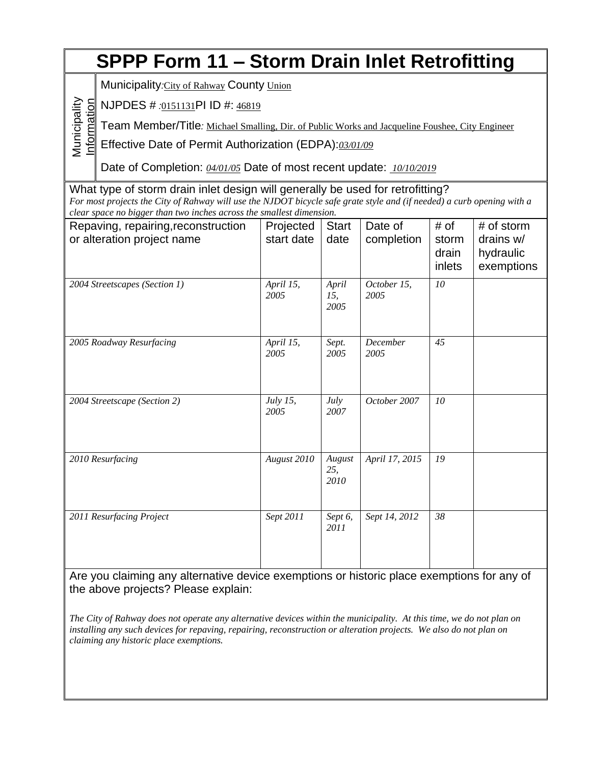| <b>SPPP Form 11 - Storm Drain Inlet Retrofitting</b>                                                                           |                                                                                                                                                                                                                                                                                  |                         |                       |                       |                                  |                                                    |
|--------------------------------------------------------------------------------------------------------------------------------|----------------------------------------------------------------------------------------------------------------------------------------------------------------------------------------------------------------------------------------------------------------------------------|-------------------------|-----------------------|-----------------------|----------------------------------|----------------------------------------------------|
|                                                                                                                                | Municipality:City of Rahway County Union                                                                                                                                                                                                                                         |                         |                       |                       |                                  |                                                    |
| NJPDES # .0151131PI ID #: 46819                                                                                                |                                                                                                                                                                                                                                                                                  |                         |                       |                       |                                  |                                                    |
| Municipality<br>Information<br>Team Member/Title: Michael Smalling, Dir. of Public Works and Jacqueline Foushee, City Engineer |                                                                                                                                                                                                                                                                                  |                         |                       |                       |                                  |                                                    |
|                                                                                                                                | Effective Date of Permit Authorization (EDPA):03/01/09                                                                                                                                                                                                                           |                         |                       |                       |                                  |                                                    |
|                                                                                                                                | Date of Completion: 04/01/05 Date of most recent update: 10/10/2019                                                                                                                                                                                                              |                         |                       |                       |                                  |                                                    |
|                                                                                                                                | What type of storm drain inlet design will generally be used for retrofitting?<br>For most projects the City of Rahway will use the NJDOT bicycle safe grate style and (if needed) a curb opening with a<br>clear space no bigger than two inches across the smallest dimension. |                         |                       |                       |                                  |                                                    |
|                                                                                                                                | Repaving, repairing, reconstruction<br>or alteration project name                                                                                                                                                                                                                | Projected<br>start date | <b>Start</b><br>date  | Date of<br>completion | # of<br>storm<br>drain<br>inlets | # of storm<br>drains w/<br>hydraulic<br>exemptions |
| 2004 Streetscapes (Section 1)                                                                                                  |                                                                                                                                                                                                                                                                                  | April 15,<br>2005       | April<br>15,<br>2005  | October 15,<br>2005   | 10                               |                                                    |
|                                                                                                                                | 2005 Roadway Resurfacing                                                                                                                                                                                                                                                         | April 15,<br>2005       | Sept.<br>2005         | December<br>2005      | 45                               |                                                    |
|                                                                                                                                | 2004 Streetscape (Section 2)                                                                                                                                                                                                                                                     | July 15,<br>2005        | July<br>2007          | October 2007          | 10                               |                                                    |
|                                                                                                                                | 2010 Resurfacing                                                                                                                                                                                                                                                                 | August 2010             | August<br>25,<br>2010 | April 17, 2015        | 19                               |                                                    |
| 2011 Resurfacing Project                                                                                                       |                                                                                                                                                                                                                                                                                  | Sept 2011               | Sept 6,<br>2011       | Sept 14, 2012         | 38                               |                                                    |

Are you claiming any alternative device exemptions or historic place exemptions for any of the above projects? Please explain:

*The City of Rahway does not operate any alternative devices within the municipality. At this time, we do not plan on installing any such devices for repaving, repairing, reconstruction or alteration projects. We also do not plan on claiming any historic place exemptions.*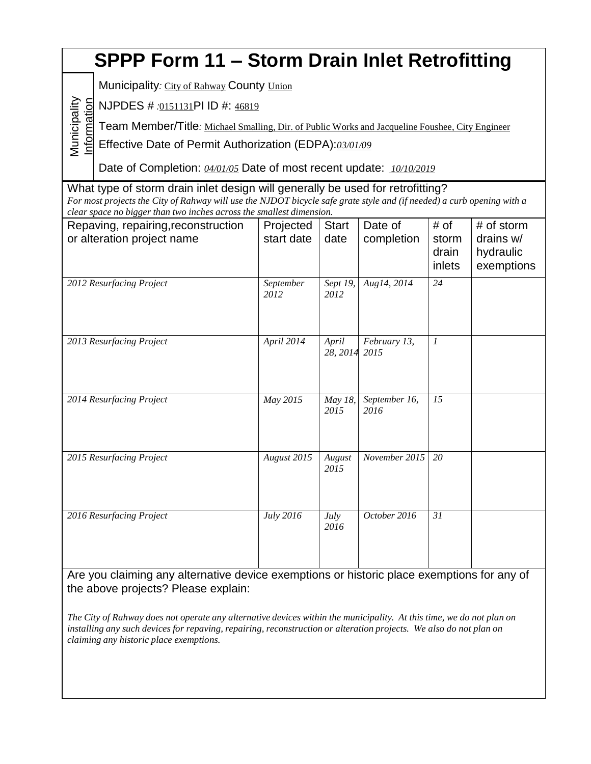#### **SPPP Form 11 – Storm Drain Inlet Retrofitting** Municipality Inform ati on NJPDES # *:*0151131PI ID #: 46819 Municipality*:* City of Rahway County Union Team Member/Title*:* Michael Smalling, Dir. of Public Works and Jacqueline Foushee, City Engineer Effective Date of Permit Authorization (EDPA):*03/01/09* Date of Completion: *04/01/05* Date of most recent update: *10/10/2019* What type of storm drain inlet design will generally be used for retrofitting? For most projects the City of Rahway will use the NJDOT bicycle safe grate style and (if needed) a curb opening with a *clear space no bigger than two inches across the smallest dimension.* Repaving, repairing,reconstruction or alteration project name Projected start date **Start** date Date of completion # of storm drain inlets # of storm drains w/ hydraulic exemptions *2012 Resurfacing Project September 2012 Sept 19, 2012 Aug14, 2014 24 2013 Resurfacing Project April 2014 April 28, 2014 February 13, 2015 1 2014 Resurfacing Project May 2015 May 18, 2015 September 16, 2016 15 2015 Resurfacing Project August 2015 August 2015 November 2015 20 2016 Resurfacing Project July 2016 July 2016 October 2016 31*

Are you claiming any alternative device exemptions or historic place exemptions for any of the above projects? Please explain:

The City of Rahway does not operate any alternative devices within the municipality. At this time, we do not plan on installing any such devices for repaving, repairing, reconstruction or alteration projects. We also do not plan on *claiming any historic place exemptions.*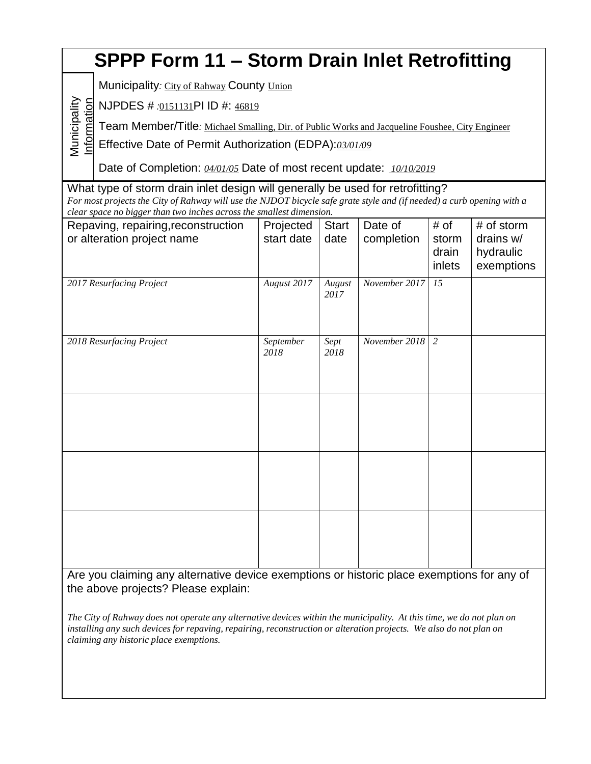# **SPPP Form 11 – Storm Drain Inlet Retrofitting**

Municipality: City of Rahway County Union

ati onNJPDES # *:*0151131PI ID #: 46819

Municipality

Team Member/Title*:* Michael Smalling, Dir. of Public Works and Jacqueline Foushee, City Engineer

Inform Effective Date of Permit Authorization (EDPA):*03/01/09*

Date of Completion: *04/01/05* Date of most recent update: *10/10/2019*

What type of storm drain inlet design will generally be used for retrofitting? For most projects the City of Rahway will use the NJDOT bicycle safe grate style and (if needed) a curb opening with a *clear space no bigger than two inches across the smallest dimension.*

| Repaving, repairing, reconstruction<br>or alteration project name | Projected<br>start date | <b>Start</b><br>date | Date of<br>completion | # of<br>storm<br>drain<br>inlets | # of storm<br>drains w/<br>hydraulic<br>exemptions |
|-------------------------------------------------------------------|-------------------------|----------------------|-----------------------|----------------------------------|----------------------------------------------------|
| 2017 Resurfacing Project                                          | August 2017             | August<br>2017       | November 2017         | 15                               |                                                    |
| 2018 Resurfacing Project                                          | September<br>2018       | Sept<br>2018         | November 2018         | 2                                |                                                    |
|                                                                   |                         |                      |                       |                                  |                                                    |
|                                                                   |                         |                      |                       |                                  |                                                    |
|                                                                   |                         |                      |                       |                                  |                                                    |

Are you claiming any alternative device exemptions or historic place exemptions for any of the above projects? Please explain:

The City of Rahway does not operate any alternative devices within the municipality. At this time, we do not plan on installing any such devices for repaving, repairing, reconstruction or alteration projects. We also do not plan on *claiming any historic place exemptions.*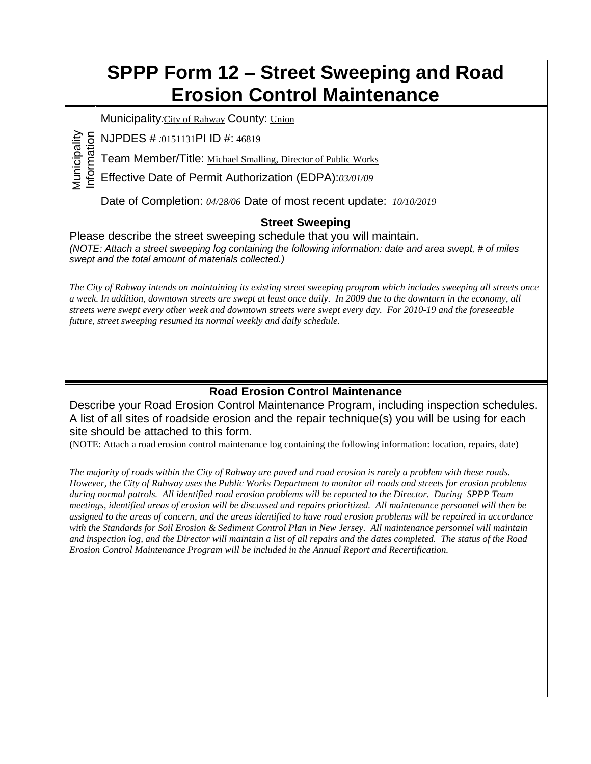## **SPPP Form 12 – Street Sweeping and Road Erosion Control Maintenance**

Municipality*:*City of Rahway County: Union

Information NJPDES # *:*0151131PI ID #: 46819

Municipality

Team Member/Title: Michael Smalling, Director of Public Works

Effective Date of Permit Authorization (EDPA):*03/01/09*

Date of Completion: *04/28/06* Date of most recent update: *10/10/2019*

### **Street Sweeping**

Please describe the street sweeping schedule that you will maintain. *(NOTE: Attach a street sweeping log containing the following information: date and area swept, # of miles swept and the total amount of materials collected.)*

*The City of Rahway intends on maintaining its existing street sweeping program which includes sweeping all streets once a week. In addition, downtown streets are swept at least once daily. In 2009 due to the downturn in the economy, all streets were swept every other week and downtown streets were swept every day. For 2010-19 and the foreseeable future, street sweeping resumed its normal weekly and daily schedule.*

### **Road Erosion Control Maintenance**

Describe your Road Erosion Control Maintenance Program, including inspection schedules. A list of all sites of roadside erosion and the repair technique(s) you will be using for each site should be attached to this form.

(NOTE: Attach a road erosion control maintenance log containing the following information: location, repairs, date)

*The majority of roads within the City of Rahway are paved and road erosion is rarely a problem with these roads. However, the City of Rahway uses the Public Works Department to monitor all roads and streets for erosion problems during normal patrols. All identified road erosion problems will be reported to the Director. During SPPP Team meetings, identified areas of erosion will be discussed and repairs prioritized. All maintenance personnel will then be assigned to the areas of concern, and the areas identified to have road erosion problems will be repaired in accordance with the Standards for Soil Erosion & Sediment Control Plan in New Jersey. All maintenance personnel will maintain and inspection log, and the Director will maintain a list of all repairs and the dates completed. The status of the Road Erosion Control Maintenance Program will be included in the Annual Report and Recertification.*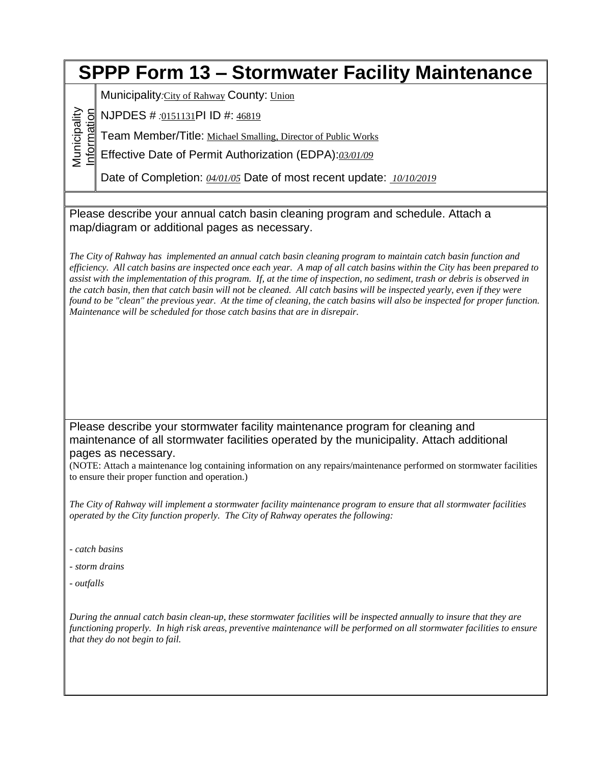## **SPPP Form 13 – Stormwater Facility Maintenance**

Municipality*:*City of Rahway County: Union

Municipality Information NJPDES # *:*0151131PI ID #: 46819

Team Member/Title: Michael Smalling, Director of Public Works

Effective Date of Permit Authorization (EDPA):*03/01/09*

Date of Completion: *04/01/05* Date of most recent update: *10/10/2019*

Please describe your annual catch basin cleaning program and schedule. Attach a map/diagram or additional pages as necessary.

*The City of Rahway has implemented an annual catch basin cleaning program to maintain catch basin function and efficiency. All catch basins are inspected once each year. A map of all catch basins within the City has been prepared to assist with the implementation of this program. If, at the time of inspection, no sediment, trash or debris is observed in the catch basin, then that catch basin will not be cleaned. All catch basins will be inspected yearly, even if they were found to be "clean" the previous year. At the time of cleaning, the catch basins will also be inspected for proper function. Maintenance will be scheduled for those catch basins that are in disrepair.* 

Please describe your stormwater facility maintenance program for cleaning and maintenance of all stormwater facilities operated by the municipality. Attach additional pages as necessary.

(NOTE: Attach a maintenance log containing information on any repairs/maintenance performed on stormwater facilities to ensure their proper function and operation.)

*The City of Rahway will implement a stormwater facility maintenance program to ensure that all stormwater facilities operated by the City function properly. The City of Rahway operates the following:*

- *- catch basins*
- *- storm drains*
- *- outfalls*

*During the annual catch basin clean-up, these stormwater facilities will be inspected annually to insure that they are functioning properly. In high risk areas, preventive maintenance will be performed on all stormwater facilities to ensure that they do not begin to fail.*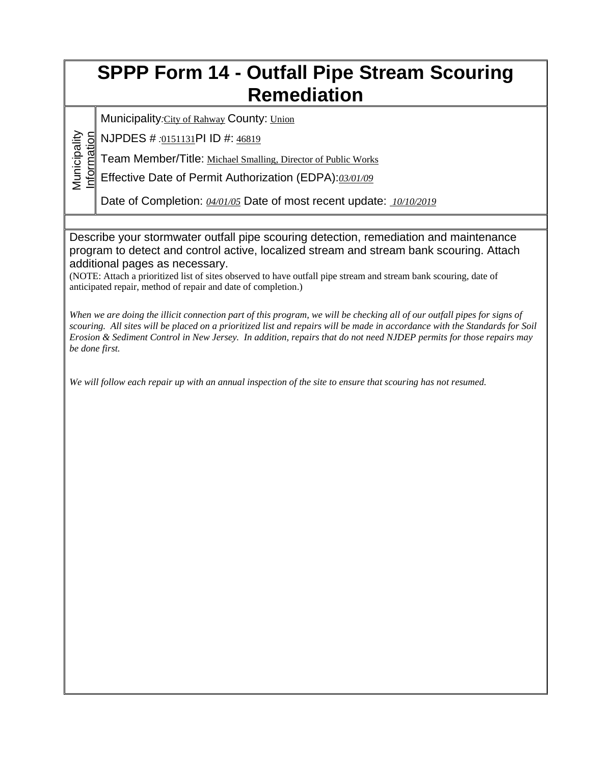## **SPPP Form 14 - Outfall Pipe Stream Scouring Remediation**

Municipality*:*City of Rahway County: Union

Municipality<br>Information NJPDES # *:*0151131PI ID #: 46819

Municipality

Team Member/Title: Michael Smalling, Director of Public Works

Effective Date of Permit Authorization (EDPA):*03/01/09*

Date of Completion: *04/01/05* Date of most recent update: *10/10/2019*

Describe your stormwater outfall pipe scouring detection, remediation and maintenance program to detect and control active, localized stream and stream bank scouring. Attach additional pages as necessary.

(NOTE: Attach a prioritized list of sites observed to have outfall pipe stream and stream bank scouring, date of anticipated repair, method of repair and date of completion.)

*When we are doing the illicit connection part of this program, we will be checking all of our outfall pipes for signs of scouring. All sites will be placed on a prioritized list and repairs will be made in accordance with the Standards for Soil Erosion & Sediment Control in New Jersey. In addition, repairs that do not need NJDEP permits for those repairs may be done first.*

*We will follow each repair up with an annual inspection of the site to ensure that scouring has not resumed.*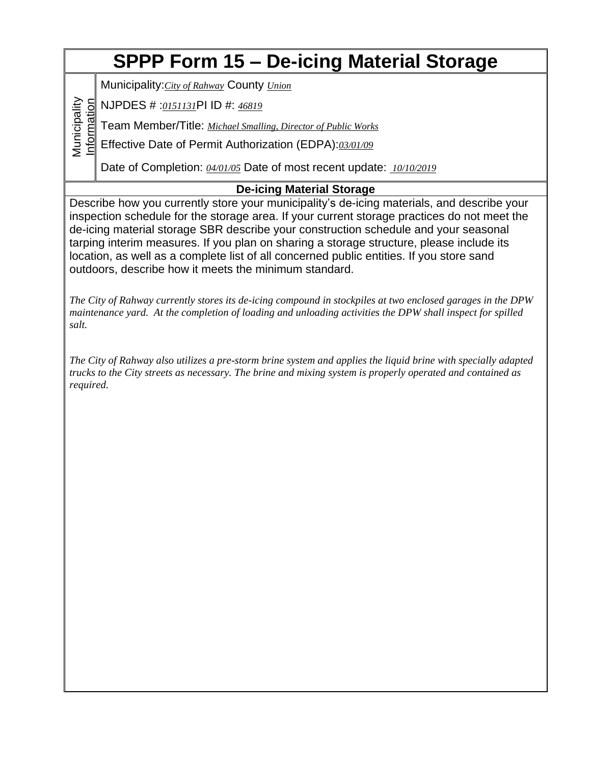# **SPPP Form 15 – De-icing Material Storage**

Municipality:*City of Rahway* County *Union*

Municipality<br>Information NJPDES # :*0151131*PI ID #: *46819*

Municipality

Team Member/Title: *Michael Smalling, Director of Public Works*

Effective Date of Permit Authorization (EDPA):*03/01/09*

Date of Completion: *04/01/05* Date of most recent update: *10/10/2019*

### **De-icing Material Storage**

Describe how you currently store your municipality's de-icing materials, and describe your inspection schedule for the storage area. If your current storage practices do not meet the de-icing material storage SBR describe your construction schedule and your seasonal tarping interim measures. If you plan on sharing a storage structure, please include its location, as well as a complete list of all concerned public entities. If you store sand outdoors, describe how it meets the minimum standard.

*The City of Rahway currently stores its de-icing compound in stockpiles at two enclosed garages in the DPW maintenance yard. At the completion of loading and unloading activities the DPW shall inspect for spilled salt.* 

*The City of Rahway also utilizes a pre-storm brine system and applies the liquid brine with specially adapted trucks to the City streets as necessary. The brine and mixing system is properly operated and contained as required.*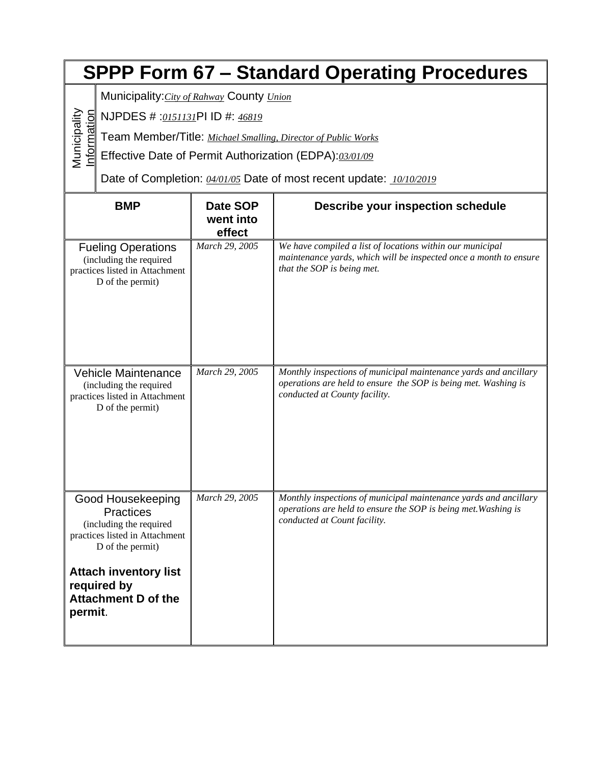|                                                                                             | <b>SPPP Form 67 - Standard Operating Procedures</b>                                                                                                                                                 |                                 |                                                                                                                                                                     |  |  |
|---------------------------------------------------------------------------------------------|-----------------------------------------------------------------------------------------------------------------------------------------------------------------------------------------------------|---------------------------------|---------------------------------------------------------------------------------------------------------------------------------------------------------------------|--|--|
|                                                                                             | Municipality: City of Rahway County Union                                                                                                                                                           |                                 |                                                                                                                                                                     |  |  |
|                                                                                             | NJPDES # :0151131PI ID #: 46819                                                                                                                                                                     |                                 |                                                                                                                                                                     |  |  |
| Municipality<br>nformation<br>Team Member/Title: Michael Smalling, Director of Public Works |                                                                                                                                                                                                     |                                 |                                                                                                                                                                     |  |  |
|                                                                                             | Effective Date of Permit Authorization (EDPA):03/01/09                                                                                                                                              |                                 |                                                                                                                                                                     |  |  |
|                                                                                             | Date of Completion: 04/01/05 Date of most recent update: 10/10/2019                                                                                                                                 |                                 |                                                                                                                                                                     |  |  |
|                                                                                             | <b>BMP</b>                                                                                                                                                                                          | Date SOP<br>went into<br>effect | <b>Describe your inspection schedule</b>                                                                                                                            |  |  |
|                                                                                             | <b>Fueling Operations</b><br>(including the required<br>practices listed in Attachment<br>D of the permit)                                                                                          | March 29, 2005                  | We have compiled a list of locations within our municipal<br>maintenance yards, which will be inspected once a month to ensure<br>that the SOP is being met.        |  |  |
|                                                                                             | <b>Vehicle Maintenance</b><br>(including the required<br>practices listed in Attachment<br>D of the permit)                                                                                         | March 29, 2005                  | Monthly inspections of municipal maintenance yards and ancillary<br>operations are held to ensure the SOP is being met. Washing is<br>conducted at County facility. |  |  |
| permit.                                                                                     | Good Housekeeping<br><b>Practices</b><br>(including the required<br>practices listed in Attachment<br>D of the permit)<br><b>Attach inventory list</b><br>required by<br><b>Attachment D of the</b> | March 29, 2005                  | Monthly inspections of municipal maintenance yards and ancillary<br>operations are held to ensure the SOP is being met. Washing is<br>conducted at Count facility.  |  |  |